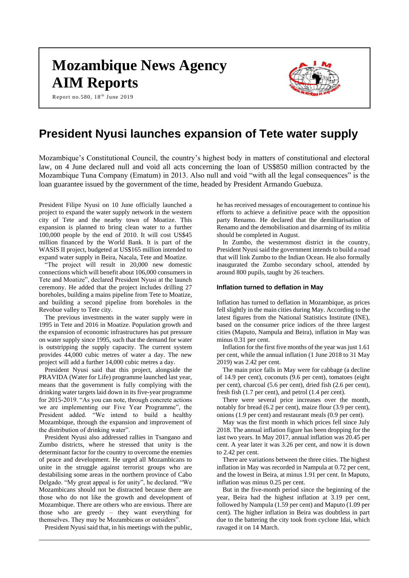# **Mozambique News Agency AIM Reports**

Report no.580,  $18^{th}$  June 2019



# **President Nyusi launches expansion of Tete water supply**

Mozambique's Constitutional Council, the country's highest body in matters of constitutional and electoral law, on 4 June declared null and void all acts concerning the loan of US\$850 million contracted by the Mozambique Tuna Company (Ematum) in 2013. Also null and void "with all the legal consequences" is the loan guarantee issued by the government of the time, headed by President Armando Guebuza.

President Filipe Nyusi on 10 June officially launched a project to expand the water supply network in the western city of Tete and the nearby town of Moatize. This expansion is planned to bring clean water to a further 100,000 people by the end of 2010. It will cost US\$45 million financed by the World Bank. It is part of the WASIS II project, budgeted at US\$165 million intended to expand water supply in Beira, Nacala, Tete and Moatize.

"The project will result in 20,000 new domestic connections which will benefit about 106,000 consumers in Tete and Moatize", declared President Nyusi at the launch ceremony. He added that the project includes drilling 27 boreholes, building a mains pipeline from Tete to Moatize, and building a second pipeline from boreholes in the Revobue valley to Tete city.

The previous investments in the water supply were in 1995 in Tete and 2016 in Moatize. Population growth and the expansion of economic infrastructures has put pressure on water supply since 1995, such that the demand for water is outstripping the supply capacity. The current system provides 44,000 cubic metres of water a day. The new project will add a further 14,000 cubic metres a day.

President Nyusi said that this project, alongside the PRAVIDA (Water for Life) programme launched last year, means that the government is fully complying with the drinking water targets laid down in its five-year programme for 2015-2019. "As you can note, through concrete actions we are implementing our Five Year Programme", the President added. "We intend to build a healthy Mozambique, through the expansion and improvement of the distribution of drinking water".

President Nyusi also addressed rallies in Tsangano and Zumbo districts, where he stressed that unity is the determinant factor for the country to overcome the enemies of peace and development. He urged all Mozambicans to unite in the struggle against terrorist groups who are destabilising some areas in the northern province of Cabo Delgado. "My great appeal is for unity", he declared. "We Mozambicans should not be distracted because there are those who do not like the growth and development of Mozambique. There are others who are envious. There are those who are greedy – they want everything for themselves. They may be Mozambicans or outsiders".

President Nyusi said that, in his meetings with the public,

he has received messages of encouragement to continue his efforts to achieve a definitive peace with the opposition party Renamo. He declared that the demilitarisation of Renamo and the demobilisation and disarming of its militia should be completed in August.

In Zumbo, the westernmost district in the country, President Nyusi said the government intends to build a road that will link Zumbo to the Indian Ocean. He also formally inaugurated the Zumbo secondary school, attended by around 800 pupils, taught by 26 teachers.

#### **Inflation turned to deflation in May**

Inflation has turned to deflation in Mozambique, as prices fell slightly in the main cities during May. According to the latest figures from the National Statistics Institute (INE), based on the consumer price indices of the three largest cities (Maputo, Nampula and Beira), inflation in May was minus 0.31 per cent.

Inflation for the first five months of the year was just 1.61 per cent, while the annual inflation (1 June 2018 to 31 May 2019) was 2.42 per cent.

The main price falls in May were for cabbage (a decline of 14.9 per cent), coconuts (9.6 per cent), tomatoes (eight per cent), charcoal (5.6 per cent), dried fish (2.6 per cent), fresh fish (1.7 per cent), and petrol (1.4 per cent).

There were several price increases over the month, notably for bread (6.2 per cent), maize flour (3.9 per cent), onions (1.9 per cent) and restaurant meals (0.9 per cent).

May was the first month in which prices fell since July 2018. The annual inflation figure has been dropping for the last two years. In May 2017, annual inflation was 20.45 per cent. A year later it was 3.26 per cent, and now it is down to 2.42 per cent.

There are variations between the three cities. The highest inflation in May was recorded in Nampula at 0.72 per cent, and the lowest in Beira, at minus 1.91 per cent. In Maputo, inflation was minus 0.25 per cent.

But in the five-month period since the beginning of the year, Beira had the highest inflation at 3.19 per cent, followed by Nampula (1.59 per cent) and Maputo (1.09 per cent). The higher inflation in Beira was doubtless in part due to the battering the city took from cyclone Idai, which ravaged it on 14 March.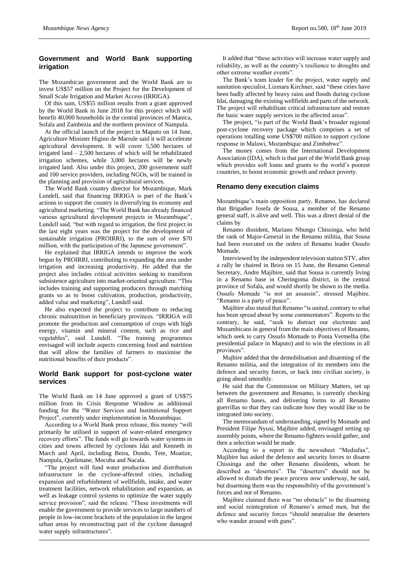# **Government and World Bank supporting irrigation**

The Mozambican government and the World Bank are to invest US\$57 million on the Project for the Development of Small Scale Irrigation and Market Access (IRRIGA).

Of this sum, US\$55 million results from a grant approved by the World Bank in June 2018 for this project which will benefit 40,000 households in the central provinces of Manica, Sofala and Zambezia and the northern province of Nampula.

At the official launch of the project in Maputo on 14 June, Agriculture Minister Higino de Marrule said it will accelerate agricultural development. It will cover 5,500 hectares of irrigated land – 2,500 hectares of which will be rehabilitated irrigation schemes, while 3,000 hectares will be newly irrigated land. Also under this project, 200 government staff and 100 service providers, including NGOs, will be trained in the planning and provision of agricultural services.

The World Bank country director for Mozambique, Mark Lundell, said that financing IRRIGA is part of the Bank's actions to support the country in diversifying its economy and agricultural marketing. "The World Bank has already financed various agricultural development projects in Mozambique", Lundell said, "but with regard to irrigation, the first project in the last eight years was the project for the development of sustainable irrigation (PROIRRI), to the sum of over \$70 million, with the participation of the Japanese government".

He explained that IRRIGA intends to improve the work begun by PROIRRI, contributing to expanding the area under irrigation and increasing productivity. He added that the project also includes critical activities seeking to transform subsistence agriculture into market-oriented agriculture. "This includes training and supporting producers through matching grants so as to boost cultivation, production, productivity, added value and marketing", Lundell said.

He also expected the project to contribute to reducing chronic malnutrition in beneficiary provinces. "IRRIGA will promote the production and consumption of crops with high energy, vitamin and mineral content, such as rice and vegetables", said Lundell. "The training programmes envisaged will include aspects concerning food and nutrition that will allow the families of farmers to maximise the nutritional benefits of their products".

# **World Bank support for post-cyclone water services**

The World Bank on 14 June approved a grant of US\$75 million from its Crisis Response Window as additional funding for the "Water Services and Institutional Support Project", currently under implementation in Mozambique.

According to a World Bank press release, this money "will primarily be utilised in support of water-related emergency recovery efforts". The funds will go towards water systems in cities and towns affected by cyclones Idai and Kenneth in March and April, including Beira, Dondo, Tete, Moatize, Nampula, Quelimane, Mocuba and Nacala.

"The project will fund water production and distribution infrastructure in the cyclone-affected cities, including expansion and refurbishment of wellfields, intake, and water treatment facilities, network rehabilitation and expansion, as well as leakage control systems to optimize the water supply service provision", said the release. "These investments will enable the government to provide services to large numbers of people in low-income brackets of the population in the largest urban areas by reconstructing part of the cyclone damaged water supply infrastructures".

It added that "these activities will increase water supply and reliability, as well as the country's resilience to droughts and other extreme weather events".

The Bank's team leader for the project, water supply and sanitation specialist, Lizmara Kirchner, said "these cities have been badly affected by heavy rains and floods during cyclone Idai, damaging the existing wellfields and parts of the network. The project will rehabilitate critical infrastructure and restore the basic water supply services in the affected areas".

The project, "is part of the World Bank's broader regional post-cyclone recovery package which comprises a set of operations totalling some US\$700 million to support cyclone response in Malawi, Mozambique and Zimbabwe".

The money comes from the International Development Association (IDA), which is that part of the World Bank group which provides soft loans and grants to the world's poorest countries, to boost economic growth and reduce poverty.

### **Renamo deny execution claims**

Mozambique's main opposition party, Renamo, has declared that Brigadier Josefa de Sousa, a member of the Renamo general staff, is alive and well. This was a direct denial of the claims by

Renamo dissident, Mariano Nhungo Chissinga, who held the rank of Major-General in the Renamo militia, that Sousa had been executed on the orders of Renamo leader Ossufo Momade.

Interviewed by the independent television station STV, after a rally he chaired in Beira on 15 June, the Renamo General Secretary, Andre Majibire, said that Sousa is currently living in a Renamo base in Cheringoma district, in the central province of Sofala, and would shortly be shown to the media. Ossufo Momade "is not an assassin", stressed Majibire. "Renamo is a party of peace".

Majibire also stated that Renamo "is united, contrary to what has been spread about by some commentators". Reports to the contrary, he said, "seek to distract our electorate and Mozambicans in general from the main objectives of Renamo, which seek to carry Ossufo Momade to Ponta Vermelha (the presidential palace in Maputo) and to win the elections in all provinces".

Majbire added that the demobilisation and disarming of the Renamo militia, and the integration of its members into the defence and security forces, or back into civilian society, is going ahead smoothly.

He said that the Commission on Military Matters, set up between the government and Renamo, is currently checking all Renamo bases, and delivering forms to all Renamo guerrillas so that they can indicate how they would like to be integrated into society.

The memorandum of understanding, signed by Momade and President Filipe Nyusi, Majibire added, envisaged setting up assembly points, where the Renamo fighters would gather, and then a selection would be made.

According to a report in the newssheet "Mediafax", Majibire has asked the defence and security forces to disarm Chissinga and the other Renamo dissidents, whom he described as "deserters". The "deserters" should not be allowed to disturb the peace process now underway, he said, but disarming them was the responsibility of the government's forces and not of Renamo.

Majibire claimed there was "no obstacle" to the disarming and social reintegration of Renamo's armed men, but the defence and security forces "should neutralise the deserters who wander around with guns".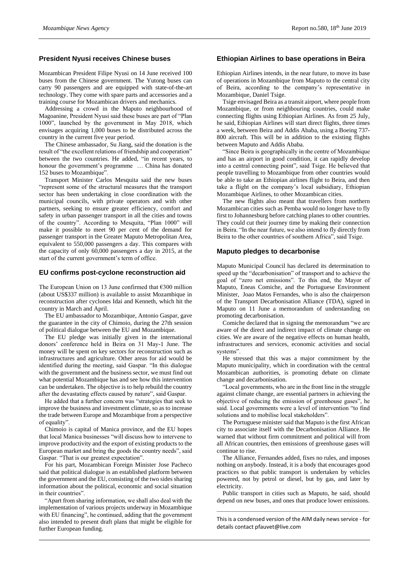#### **President Nyusi receives Chinese buses**

Mozambican President Filipe Nyusi on 14 June received 100 buses from the Chinese government. The Yutong buses can carry 90 passengers and are equipped with state-of-the-art technology. They come with spare parts and accessories and a training course for Mozambican drivers and mechanics.

Addressing a crowd in the Maputo neighbourhood of Magoanine, President Nyusi said these buses are part of "Plan 1000", launched by the government in May 2018, which envisages acquiring 1,000 buses to be distributed across the country in the current five year period.

The Chinese ambassador, Su Jiang, said the donation is the result of "the excellent relations of friendship and cooperation" between the two countries. He added, "in recent years, to honour the government's programme … China has donated 152 buses to Mozambique".

Transport Minister Carlos Mesquita said the new buses "represent some of the structural measures that the transport sector has been undertaking in close coordination with the municipal councils, with private operators and with other partners, seeking to ensure greater efficiency, comfort and safety in urban passenger transport in all the cities and towns of the country". According to Mesquita, "Plan 1000" will make it possible to meet 90 per cent of the demand for passenger transport in the Greater Maputo Metropolitan Area, equivalent to 550,000 passengers a day. This compares with the capacity of only 60,000 passengers a day in 2015, at the start of the current government's term of office.

#### **EU confirms post-cyclone reconstruction aid**

The European Union on 13 June confirmed that  $\epsilon$ 300 million (about US\$337 million) is available to assist Mozambique in reconstruction after cyclones Idai and Kenneth, which hit the country in March and April.

The EU ambassador to Mozambique, Antonio Gaspar, gave the guarantee in the city of Chimoio, during the 27th session of political dialogue between the EU and Mozambique.

The EU pledge was initially given in the international donors' conference held in Beira on 31 May-1 June. The money will be spent on key sectors for reconstruction such as infrastructures and agriculture. Other areas for aid would be identified during the meeting, said Gaspar. "In this dialogue with the government and the business sector, we must find out what potential Mozambique has and see how this intervention can be undertaken. The objective is to help rebuild the country after the devastating effects caused by nature", said Gaspar.

He added that a further concern was "strategies that seek to improve the business and investment climate, so as to increase the trade between Europe and Mozambique from a perspective of equality".

Chimoio is capital of Manica province, and the EU hopes that local Manica businesses "will discuss how to intervene to improve productivity and the export of existing products to the European market and bring the goods the country needs", said Gaspar. "That is our greatest expectation".

For his part, Mozambican Foreign Minister Jose Pacheco said that political dialogue is an established platform between the government and the EU, consisting of the two sides sharing information about the political, economic and social situation in their countries".

"Apart from sharing information, we shall also deal with the implementation of various projects underway in Mozambique with EU financing", he continued, adding that the government also intended to present draft plans that might be eligible for further European funding.

#### **Ethiopian Airlines to base operations in Beira**

Ethiopian Airlines intends, in the near future, to move its base of operations in Mozambique from Maputo to the central city of Beira, according to the company's representative in Mozambique, Daniel Tsige.

Tsige envisaged Beira as a transit airport, where people from Mozambique, or from neighbouring countries, could make connecting flights using Ethiopian Airlines. As from 25 July, he said, Ethiopian Airlines will start direct flights, three times a week, between Beira and Addis Ababa, using a Boeing 737- 800 aircraft. This will be in addition to the existing flights between Maputo and Addis Ababa.

"Since Beira is geographically in the centre of Mozambique and has an airport in good condition, it can rapidly develop into a central connecting point", said Tsige. He believed that people travelling to Mozambique from other countries would be able to take an Ethiopian airlines flight to Beira, and then take a flight on the company's local subsidiary, Ethiopian Mozambique Airlines, to other Mozambican cities.

The new flights also meant that travellers from northern Mozambican cities such as Pemba would no longer have to fly first to Johannesburg before catching planes to other countries. They could cut their journey time by making their connection in Beira. "In the near future, we also intend to fly directly from Beira to the other countries of southern Africa", said Tsige.

#### **Maputo pledges to decarbonise**

Maputo Municipal Council has declared its determination to speed up the "decarbonisation" of transport and to achieve the goal of "zero net emissions". To this end, the Mayor of Maputo, Eneas Comiche, and the Portuguese Environment Minister, Joao Matos Fernandes, who is also the chairperson of the Transport Decarbonisation Alliance (TDA), signed in Maputo on 11 June a memorandum of understanding on promoting decarbonisation.

Comiche declared that in signing the memorandum "we are aware of the direct and indirect impact of climate change on cities. We are aware of the negative effects on human health, infrastructures and services, economic activities and social systems".

He stressed that this was a major commitment by the Maputo municipality, which in coordination with the central Mozambican authorities, is promoting debate on climate change and decarbonisation.

"Local governments, who are in the front line in the struggle against climate change, are essential partners in achieving the objective of reducing the emission of greenhouse gases", he said. Local governments were a level of intervention "to find solutions and to mobilise local stakeholders".

The Portuguese minister said that Maputo is the first African city to associate itself with the Decarbonisation Alliance. He warned that without firm commitment and political will from all African countries, then emissions of greenhouse gases will continue to rise.

The Alliance, Fernandes added, fixes no rules, and imposes nothing on anybody. Instead, it is a body that encourages good practices so that public transport is undertaken by vehicles powered, not by petrol or diesel, but by gas, and later by electricity.

Public transport in cities such as Maputo, he said, should depend on new buses, and ones that produce lower emissions.

 $\_$  , and the set of the set of the set of the set of the set of the set of the set of the set of the set of the set of the set of the set of the set of the set of the set of the set of the set of the set of the set of th This is a condensed version of the AIM daily news service - for details contact pfauvet@live.com